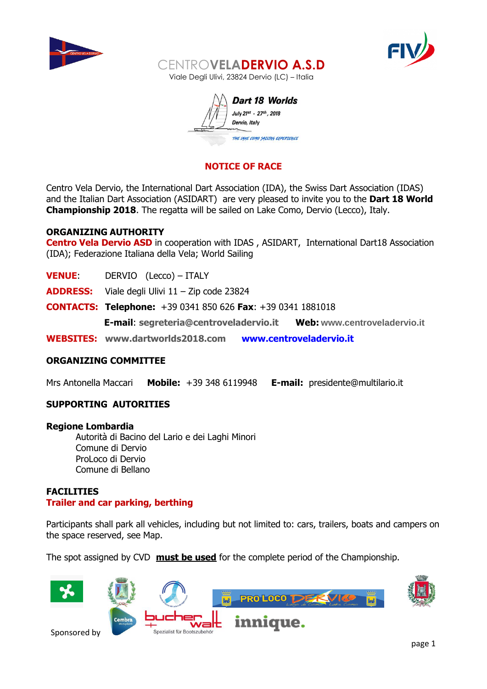



Dart 18 Worlds July 21st - 27th, 2018 Dervio, Italy THE LAKE COMO SAILING EXPERIENCE

# **NOTICE OF RACE**

Centro Vela Dervio, the International Dart Association (IDA), the Swiss Dart Association (IDAS) and the Italian Dart Association (ASIDART) are very pleased to invite you to the **Dart 18 World Championship 2018**. The regatta will be sailed on Lake Como, Dervio (Lecco), Italy.

#### **ORGANIZING AUTHORITY**

**Centro Vela Dervio ASD** in cooperation with IDAS, ASIDART, International Dart18 Association (IDA); Federazione Italiana della Vela; World Sailing

|              | E-mail: segreteria@centroveladervio.it<br>Web: www.centroveladervio.it |  |
|--------------|------------------------------------------------------------------------|--|
|              | <b>CONTACTS: Telephone:</b> +39 0341 850 626 Fax: +39 0341 1881018     |  |
|              | <b>ADDRESS:</b> Viale degli Ulivi 11 – Zip code 23824                  |  |
| <b>VENUE</b> | DERVIO (Lecco) – ITALY                                                 |  |

# **ORGANIZING COMMITTEE**

Mrs Antonella Maccari **Mobile:** +39 348 6119948 **E-mail:** presidente@multilario.it

# **SUPPORTING AUTORITIES**

#### **Regione Lombardia**

Autorità di Bacino del Lario e dei Laghi Minori Comune di Dervio ProLoco di Dervio Comune di Bellano

# **FACILITIES Trailer and car parking, berthing**

Participants shall park all vehicles, including but not limited to: cars, trailers, boats and campers on the space reserved, see Map.

The spot assigned by CVD **must be used** for the complete period of the Championship.

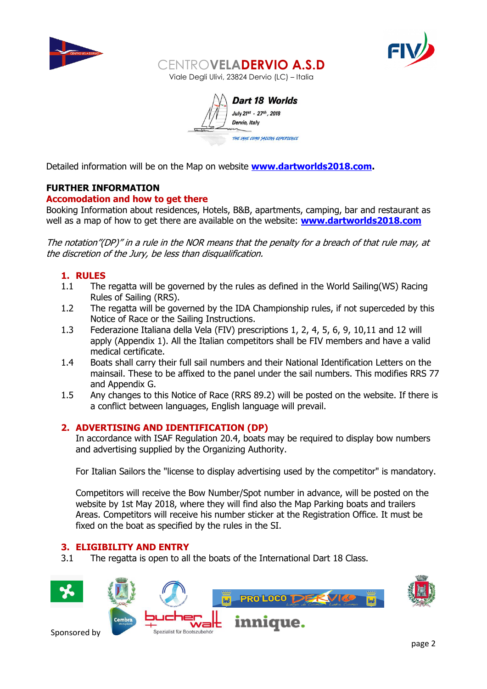



Dart 18 Worlds July 21st - 27th, 2018 Dervio, Italy THE VAKE COMO SAILING EXPERIENCE

Detailed information will be on the Map on website **[www.dartworlds2018.com.](http://www.dartworlds2018.com/)**

# **FURTHER INFORMATION**

# **Accomodation and how to get there**

Booking Information about residences, Hotels, B&B, apartments, camping, bar and restaurant as well as a map of how to get there are available on the website: **[www.dartworlds2018.com](http://www.dartworlds2018.com/)**

The notation"(DP)" in a rule in the NOR means that the penalty for a breach of that rule may, at the discretion of the Jury, be less than disqualification.

# **1. RULES**

- 1.1 The regatta will be governed by the rules as defined in the World Sailing(WS) Racing Rules of Sailing (RRS).
- 1.2 The regatta will be governed by the IDA Championship rules, if not superceded by this Notice of Race or the Sailing Instructions.
- 1.3 Federazione Italiana della Vela (FIV) prescriptions 1, 2, 4, 5, 6, 9, 10,11 and 12 will apply (Appendix 1). All the Italian competitors shall be FIV members and have a valid medical certificate.
- 1.4 Boats shall carry their full sail numbers and their National Identification Letters on the mainsail. These to be affixed to the panel under the sail numbers. This modifies RRS 77 and Appendix G.
- 1.5 Any changes to this Notice of Race (RRS 89.2) will be posted on the website. If there is a conflict between languages, English language will prevail.

# **2. ADVERTISING AND IDENTIFICATION (DP)**

In accordance with ISAF Regulation 20.4, boats may be required to display bow numbers and advertising supplied by the Organizing Authority.

For Italian Sailors the "license to display advertising used by the competitor" is mandatory.

Competitors will receive the Bow Number/Spot number in advance, will be posted on the website by 1st May 2018, where they will find also the Map Parking boats and trailers Areas. Competitors will receive his number sticker at the Registration Office. It must be fixed on the boat as specified by the rules in the SI.

# **3. ELIGIBILITY AND ENTRY**

3.1 The regatta is open to all the boats of the International Dart 18 Class.

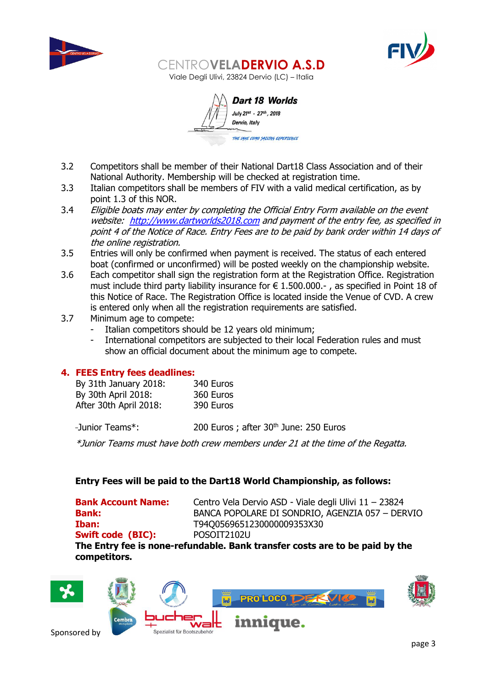



Dart 18 Worlds July 21st - 27th, 2018 Dervio, Italy THE LAKE COMO SATLING EXPERTENCE

- 3.2 Competitors shall be member of their National Dart18 Class Association and of their National Authority. Membership will be checked at registration time.
- 3.3 Italian competitors shall be members of FIV with a valid medical certification, as by point 1.3 of this NOR.
- 3.4 Eligible boats may enter by completing the Official Entry Form available on the event website: [http://www.dartworlds2018.com](http://www.dartworlds2018.com/) and payment of the entry fee, as specified in point 4 of the Notice of Race. Entry Fees are to be paid by bank order within 14 days of the online registration.
- 3.5 Entries will only be confirmed when payment is received. The status of each entered boat (confirmed or unconfirmed) will be posted weekly on the championship website.
- 3.6 Each competitor shall sign the registration form at the Registration Office. Registration must include third party liability insurance for € 1.500.000.- , as specified in Point 18 of this Notice of Race. The Registration Office is located inside the Venue of CVD. A crew is entered only when all the registration requirements are satisfied.
- 3.7 Minimum age to compete:
	- Italian competitors should be 12 years old minimum;
	- International competitors are subjected to their local Federation rules and must show an official document about the minimum age to compete.

# **4. FEES Entry fees deadlines:**

| By 31th January 2018:  | 340 Euros |
|------------------------|-----------|
| By 30th April 2018:    | 360 Euros |
| After 30th April 2018: | 390 Euros |

-Junior Teams<sup>\*</sup>: 200 Euros ; after 30<sup>th</sup> June: 250 Euros

\*Junior Teams must have both crew members under 21 at the time of the Regatta.

# **Entry Fees will be paid to the Dart18 World Championship, as follows:**

**Swift code (BIC):** POSOIT2102U

**Bank Account Name:** Centro Vela Dervio ASD - Viale degli Ulivi 11 – 23824 **Bank:** BANCA POPOLARE DI SONDRIO, AGENZIA 057 – DERVIO **Iban:** T9400569651230000009353X30

**The Entry fee is none-refundable. Bank transfer costs are to be paid by the competitors.**

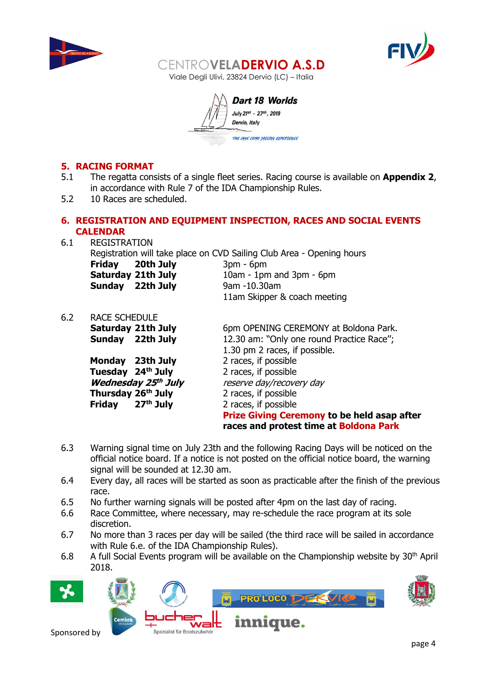



Dart 18 Worlds July 21st - 27th, 2018 Dervio, Italy THE LAKE COMO SATLING EXPERTENCE

# **5. RACING FORMAT**

- 5.1 The regatta consists of a single fleet series. Racing course is available on **Appendix 2**, in accordance with Rule 7 of the IDA Championship Rules.
- 5.2 10 Races are scheduled.

# **6. REGISTRATION AND EQUIPMENT INSPECTION, RACES AND SOCIAL EVENTS CALENDAR**

- 6.1 REGISTRATION Registration will take place on CVD Sailing Club Area - Opening hours **Friday 20th July** 3pm - 6pm **Saturday 21th July** 10am - 1pm and 3pm - 6pm **Sunday 22th July** 9am -10.30am 11am Skipper & coach meeting
- 6.2 RACE SCHEDULE

**Monday** 23th July 2 races, if possible **Tuesday 24th July** 2 races, if possible **Wednesday 25 Thursday 26th July** 2 races, if possible **Friday 27th July** 2 races, if possible

**Saturday 21th July** 6pm OPENING CEREMONY at Boldona Park. **Sunday** 22th July 12.30 am: "Only one round Practice Race"; 1.30 pm 2 races, if possible. reserve day/recovery day **Prize Giving Ceremony to be held asap after races and protest time at Boldona Park**

- 6.3 Warning signal time on July 23th and the following Racing Days will be noticed on the official notice board. If a notice is not posted on the official notice board, the warning signal will be sounded at 12.30 am.
- 6.4 Every day, all races will be started as soon as practicable after the finish of the previous race.
- 6.5 No further warning signals will be posted after 4pm on the last day of racing.
- 6.6 Race Committee, where necessary, may re-schedule the race program at its sole discretion.
- 6.7 No more than 3 races per day will be sailed (the third race will be sailed in accordance with Rule 6.e. of the IDA Championship Rules).
- 6.8 A full Social Events program will be available on the Championship website by  $30<sup>th</sup>$  April 2018.

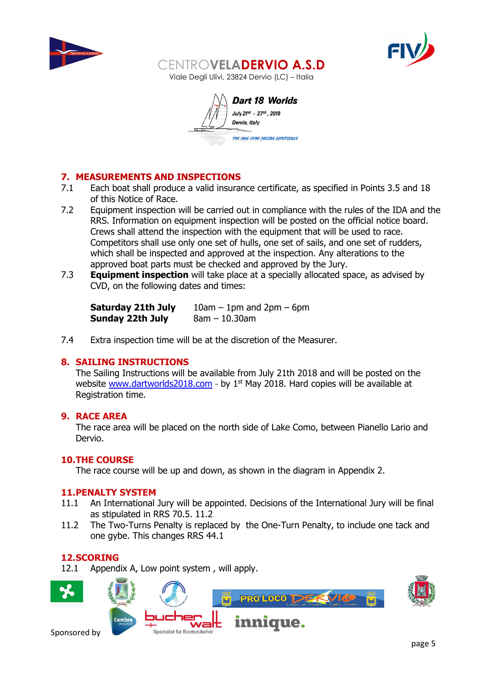



Dart 18 Worlds July 21st - 27th, 2018 Dervio, Italy THE LAKE COMO SAILING EXPERIENCE

# **7. MEASUREMENTS AND INSPECTIONS**

- 7.1 Each boat shall produce a valid insurance certificate, as specified in Points 3.5 and 18 of this Notice of Race.
- 7.2 Equipment inspection will be carried out in compliance with the rules of the IDA and the RRS. Information on equipment inspection will be posted on the official notice board. Crews shall attend the inspection with the equipment that will be used to race. Competitors shall use only one set of hulls, one set of sails, and one set of rudders, which shall be inspected and approved at the inspection. Any alterations to the approved boat parts must be checked and approved by the Jury.
- 7.3 **Equipment inspection** will take place at a specially allocated space, as advised by CVD, on the following dates and times:

| <b>Saturday 21th July</b> | $10am - 1pm$ and $2pm - 6pm$ |
|---------------------------|------------------------------|
| Sunday 22th July          | $8am - 10.30am$              |

7.4 Extra inspection time will be at the discretion of the Measurer.

# **8. SAILING INSTRUCTIONS**

The Sailing Instructions will be available from July 21th 2018 and will be posted on the website [www.dartworlds2018.com](http://www.dartworlds2018.com/) - by  $1<sup>st</sup>$  May 2018. Hard copies will be available at Registration time.

# **9. RACE AREA**

The race area will be placed on the north side of Lake Como, between Pianello Lario and Dervio.

# **10.THE COURSE**

The race course will be up and down, as shown in the diagram in Appendix 2.

#### **11.PENALTY SYSTEM**

- 11.1 An International Jury will be appointed. Decisions of the International Jury will be final as stipulated in RRS 70.5. 11.2
- 11.2 The Two-Turns Penalty is replaced by the One-Turn Penalty, to include one tack and one gybe. This changes RRS 44.1

# **12.SCORING**

12.1 Appendix A, Low point system , will apply.

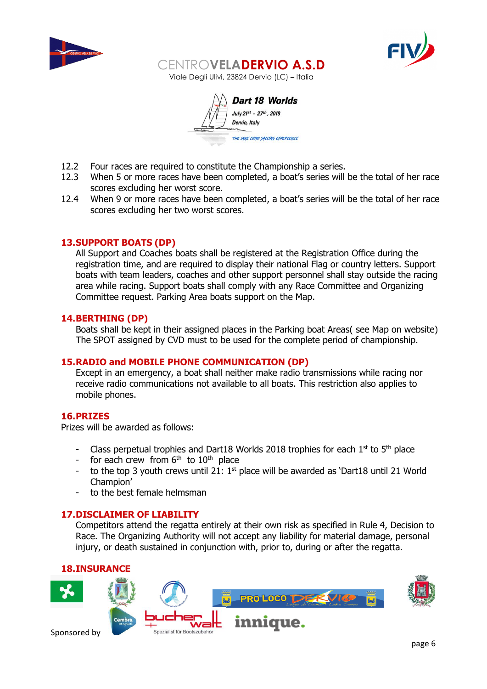



Dart 18 Worlds July 21st - 27th, 2018 Dervio, Italy THE LAKE COMO SATLING EXPERIENCE

- 12.2 Four races are required to constitute the Championship a series.
- 12.3 When 5 or more races have been completed, a boat's series will be the total of her race scores excluding her worst score.
- 12.4 When 9 or more races have been completed, a boat's series will be the total of her race scores excluding her two worst scores.

#### **13.SUPPORT BOATS (DP)**

All Support and Coaches boats shall be registered at the Registration Office during the registration time, and are required to display their national Flag or country letters. Support boats with team leaders, coaches and other support personnel shall stay outside the racing area while racing. Support boats shall comply with any Race Committee and Organizing Committee request. Parking Area boats support on the Map.

# **14.BERTHING (DP)**

Boats shall be kept in their assigned places in the Parking boat Areas( see Map on website) The SPOT assigned by CVD must to be used for the complete period of championship.

#### **15.RADIO and MOBILE PHONE COMMUNICATION (DP)**

Except in an emergency, a boat shall neither make radio transmissions while racing nor receive radio communications not available to all boats. This restriction also applies to mobile phones.

#### **16.PRIZES**

Prizes will be awarded as follows:

- Class perpetual trophies and Dart18 Worlds 2018 trophies for each  $1^{st}$  to  $5^{th}$  place
- for each crew from  $6<sup>th</sup>$  to  $10<sup>th</sup>$  place
- to the top 3 youth crews until 21:  $1<sup>st</sup>$  place will be awarded as 'Dart18 until 21 World Champion'
- to the best female helmsman

#### **17.DISCLAIMER OF LIABILITY**

Competitors attend the regatta entirely at their own risk as specified in Rule 4, Decision to Race. The Organizing Authority will not accept any liability for material damage, personal injury, or death sustained in conjunction with, prior to, during or after the regatta.

# **18.INSURANCE**

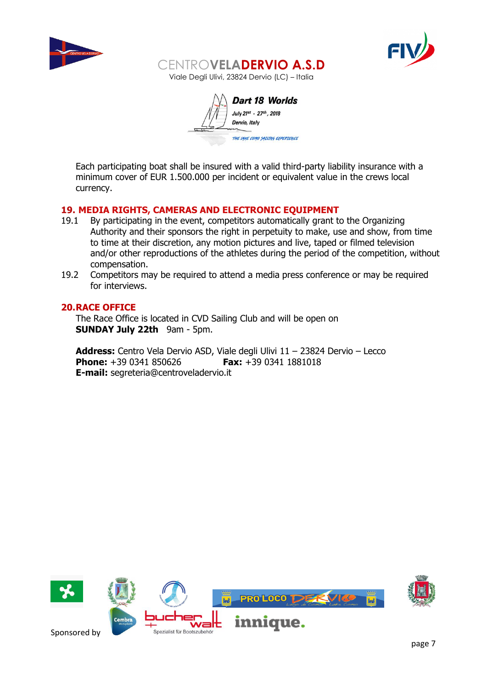



Dart 18 Worlds July 21st - 27th, 2018 Dervio, Italy THE LAKE COMO SAILING EXPERIENCE

Each participating boat shall be insured with a valid third-party liability insurance with a minimum cover of EUR 1.500.000 per incident or equivalent value in the crews local currency.

# **19. MEDIA RIGHTS, CAMERAS AND ELECTRONIC EQUIPMENT**

- 19.1 By participating in the event, competitors automatically grant to the Organizing Authority and their sponsors the right in perpetuity to make, use and show, from time to time at their discretion, any motion pictures and live, taped or filmed television and/or other reproductions of the athletes during the period of the competition, without compensation.
- 19.2 Competitors may be required to attend a media press conference or may be required for interviews.

#### **20.RACE OFFICE**

The Race Office is located in CVD Sailing Club and will be open on **SUNDAY July 22th** 9am - 5pm.

**Address:** Centro Vela Dervio ASD, Viale degli Ulivi 11 – 23824 Dervio – Lecco **Phone:** +39 0341 850626 **Fax:** +39 0341 1881018 **E-mail:** [segreteria@centroveladervio.it](mailto:segreteria@centroveladervio.it)

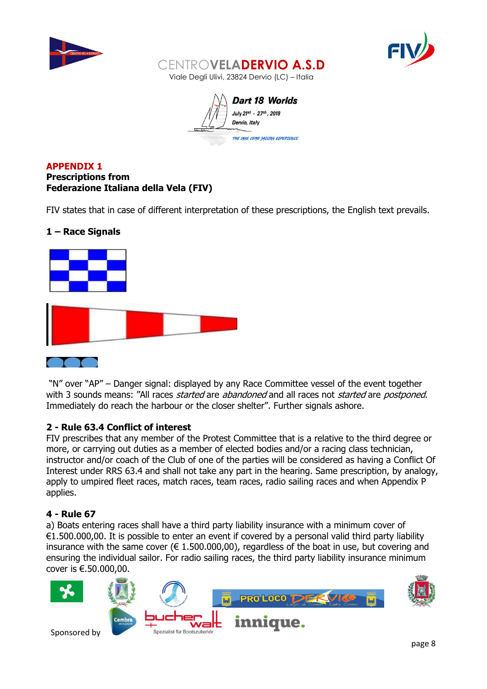



Dart 18 Worlds July 21st - 27th, 2018 Dervio, Italy THE LAKE COMO SAILING EXPERIENCE

# **APPENDIX 1 Prescriptions from Federazione Italiana della Vela (FIV)**

FIV states that in case of different interpretation of these prescriptions, the English text prevails.

# **1 – Race Signals**



"N" over "AP" – Danger signal: displayed by any Race Committee vessel of the event together with 3 sounds means: "All races *started* are *abandoned* and all races not *started* are *postponed*. Immediately do reach the harbour or the closer shelter". Further signals ashore.

# **2 - Rule 63.4 Conflict of interest**

FIV prescribes that any member of the Protest Committee that is a relative to the third degree or more, or carrying out duties as a member of elected bodies and/or a racing class technician, instructor and/or coach of the Club of one of the parties will be considered as having a Conflict Of Interest under RRS 63.4 and shall not take any part in the hearing. Same prescription, by analogy, apply to umpired fleet races, match races, team races, radio sailing races and when Appendix P applies.

# **4 - Rule 67**

a) Boats entering races shall have a third party liability insurance with a minimum cover of €1.500.000,00. It is possible to enter an event if covered by a personal valid third party liability insurance with the same cover ( $\epsilon$  1.500.000,00), regardless of the boat in use, but covering and ensuring the individual sailor. For radio sailing races, the third party liability insurance minimum cover is €.50.000,00.

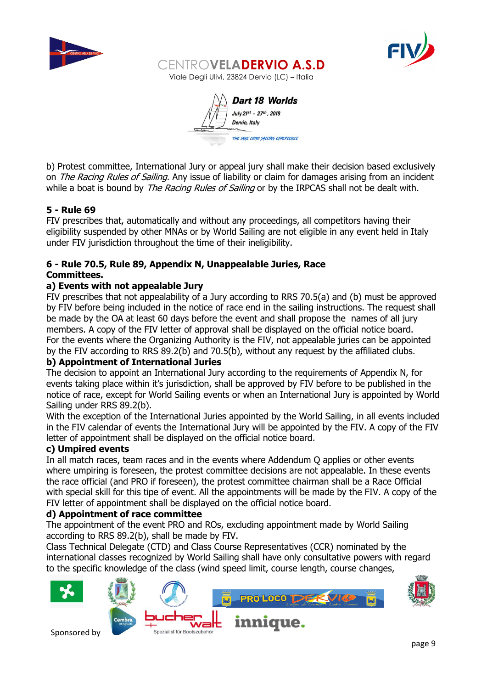



Dart 18 Worlds July 21st - 27th, 2018 Dervio, Italy THE LAKE COMO SATLING EXPERIENCE

b) Protest committee, International Jury or appeal jury shall make their decision based exclusively on *The Racing Rules of Sailing*. Any issue of liability or claim for damages arising from an incident while a boat is bound by *The Racing Rules of Sailing* or by the IRPCAS shall not be dealt with.

# **5 - Rule 69**

FIV prescribes that, automatically and without any proceedings, all competitors having their eligibility suspended by other MNAs or by World Sailing are not eligible in any event held in Italy under FIV jurisdiction throughout the time of their ineligibility.

# **6 - Rule 70.5, Rule 89, Appendix N, Unappealable Juries, Race Committees.**

# **a) Events with not appealable Jury**

FIV prescribes that not appealability of a Jury according to RRS 70.5(a) and (b) must be approved by FIV before being included in the notice of race end in the sailing instructions. The request shall be made by the OA at least 60 days before the event and shall propose the names of all jury members. A copy of the FIV letter of approval shall be displayed on the official notice board. For the events where the Organizing Authority is the FIV, not appealable juries can be appointed by the FIV according to RRS 89.2(b) and 70.5(b), without any request by the affiliated clubs.

# **b) Appointment of International Juries**

The decision to appoint an International Jury according to the requirements of Appendix N, for events taking place within it's jurisdiction, shall be approved by FIV before to be published in the notice of race, except for World Sailing events or when an International Jury is appointed by World Sailing under RRS 89.2(b).

With the exception of the International Juries appointed by the World Sailing, in all events included in the FIV calendar of events the International Jury will be appointed by the FIV. A copy of the FIV letter of appointment shall be displayed on the official notice board.

# **c) Umpired events**

In all match races, team races and in the events where Addendum Q applies or other events where umpiring is foreseen, the protest committee decisions are not appealable. In these events the race official (and PRO if foreseen), the protest committee chairman shall be a Race Official with special skill for this tipe of event. All the appointments will be made by the FIV. A copy of the FIV letter of appointment shall be displayed on the official notice board.

# **d) Appointment of race committee**

The appointment of the event PRO and ROs, excluding appointment made by World Sailing according to RRS 89.2(b), shall be made by FIV.

Class Technical Delegate (CTD) and Class Course Representatives (CCR) nominated by the international classes recognized by World Sailing shall have only consultative powers with regard to the specific knowledge of the class (wind speed limit, course length, course changes,

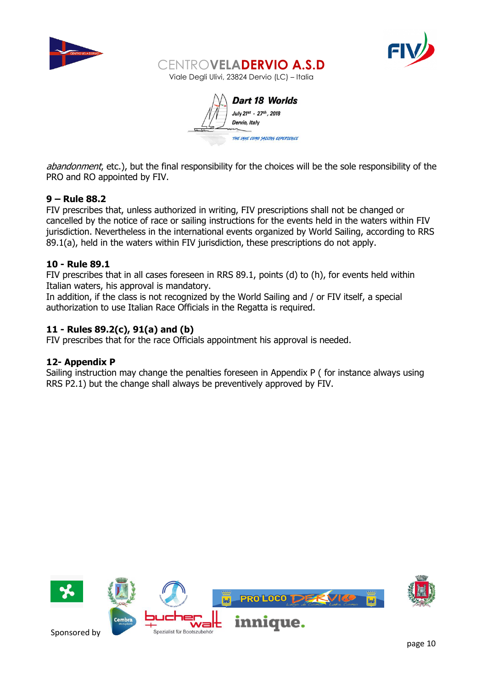



Dart 18 Worlds July 21st - 27th, 2018 Dervio, Italy THE VAKE COMO SAILING EXPERIENCE

abandonment, etc.), but the final responsibility for the choices will be the sole responsibility of the PRO and RO appointed by FIV.

# **9 – Rule 88.2**

FIV prescribes that, unless authorized in writing, FIV prescriptions shall not be changed or cancelled by the notice of race or sailing instructions for the events held in the waters within FIV jurisdiction. Nevertheless in the international events organized by World Sailing, according to RRS 89.1(a), held in the waters within FIV jurisdiction, these prescriptions do not apply.

# **10 - Rule 89.1**

FIV prescribes that in all cases foreseen in RRS 89.1, points (d) to (h), for events held within Italian waters, his approval is mandatory.

In addition, if the class is not recognized by the World Sailing and / or FIV itself, a special authorization to use Italian Race Officials in the Regatta is required.

# **11 - Rules 89.2(c), 91(a) and (b)**

FIV prescribes that for the race Officials appointment his approval is needed.

# **12- Appendix P**

Sailing instruction may change the penalties foreseen in Appendix P ( for instance always using RRS P2.1) but the change shall always be preventively approved by FIV.

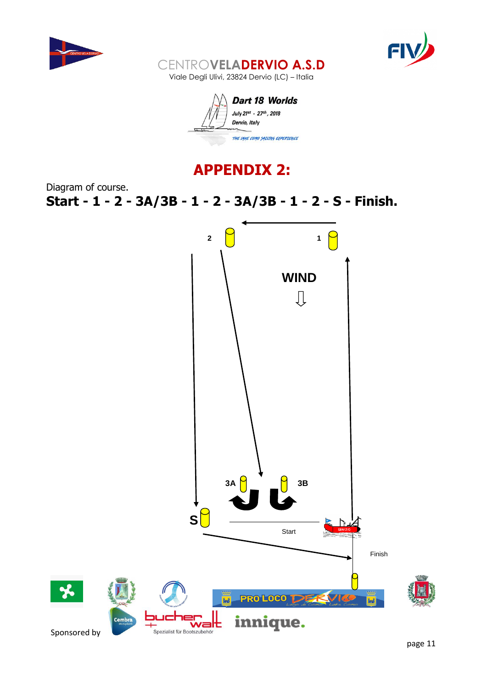





# **APPENDIX 2:**

Diagram of course. **Start - 1 - 2 - 3A/3B - 1 - 2 - 3A/3B - 1 - 2 - S - Finish.**